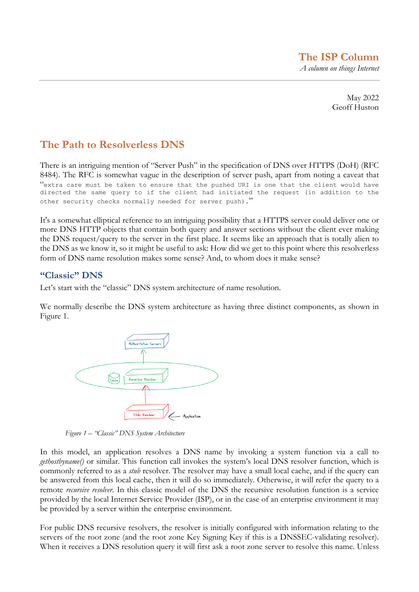**The ISP Column**  *A column on things Internet*

> May 2022 Geoff Huston

# **The Path to Resolverless DNS**

There is an intriguing mention of "Server Push" in the specification of DNS over HTTPS (DoH) (RFC 8484). The RFC is somewhat vague in the description of server push, apart from noting a caveat that "extra care must be taken to ensure that the pushed URI is one that the client would have directed the same query to if the client had initiated the request (in addition to the other security checks normally needed for server push)."

It's a somewhat elliptical reference to an intriguing possibility that a HTTPS server could deliver one or more DNS HTTP objects that contain both query and answer sections without the client ever making the DNS request/query to the server in the first place. It seems like an approach that is totally alien to the DNS as we know it, so it might be useful to ask: How did we get to this point where this resolverless form of DNS name resolution makes some sense? And, to whom does it make sense?

#### **"Classic" DNS**

Let's start with the "classic" DNS system architecture of name resolution.

We normally describe the DNS system architecture as having three distinct components, as shown in Figure 1.



*Figure 1 – "Classic" DNS System Architecture*

In this model, an application resolves a DNS name by invoking a system function via a call to *gethostbyname()* or similar. This function call invokes the system's local DNS resolver function, which is commonly referred to as a *stub* resolver. The resolver may have a small local cache, and if the query can be answered from this local cache, then it will do so immediately. Otherwise, it will refer the query to a remote *recursive resolver*. In this classic model of the DNS the recursive resolution function is a service provided by the local Internet Service Provider (ISP), or in the case of an enterprise environment it may be provided by a server within the enterprise environment.

For public DNS recursive resolvers, the resolver is initially configured with information relating to the servers of the root zone (and the root zone Key Signing Key if this is a DNSSEC-validating resolver). When it receives a DNS resolution query it will first ask a root zone server to resolve this name. Unless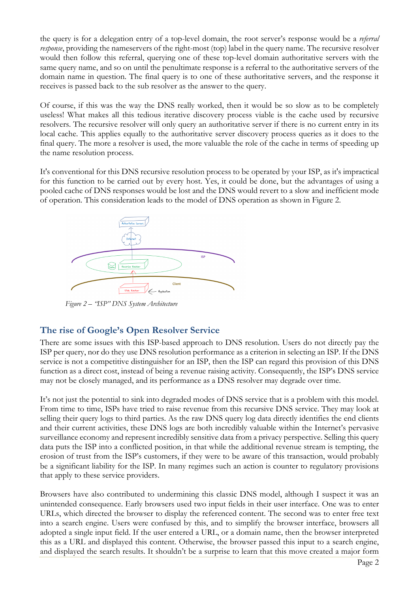the query is for a delegation entry of a top-level domain, the root server's response would be a *referral response*, providing the nameservers of the right-most (top) label in the query name. The recursive resolver would then follow this referral, querying one of these top-level domain authoritative servers with the same query name, and so on until the penultimate response is a referral to the authoritative servers of the domain name in question. The final query is to one of these authoritative servers, and the response it receives is passed back to the sub resolver as the answer to the query.

Of course, if this was the way the DNS really worked, then it would be so slow as to be completely useless! What makes all this tedious iterative discovery process viable is the cache used by recursive resolvers. The recursive resolver will only query an authoritative server if there is no current entry in its local cache. This applies equally to the authoritative server discovery process queries as it does to the final query. The more a resolver is used, the more valuable the role of the cache in terms of speeding up the name resolution process.

It's conventional for this DNS recursive resolution process to be operated by your ISP, as it's impractical for this function to be carried out by every host. Yes, it could be done, but the advantages of using a pooled cache of DNS responses would be lost and the DNS would revert to a slow and inefficient mode of operation. This consideration leads to the model of DNS operation as shown in Figure 2.



*Figure 2 – "ISP" DNS System Architecture*

### **The rise of Google's Open Resolver Service**

There are some issues with this ISP-based approach to DNS resolution. Users do not directly pay the ISP per query, nor do they use DNS resolution performance as a criterion in selecting an ISP. If the DNS service is not a competitive distinguisher for an ISP, then the ISP can regard this provision of this DNS function as a direct cost, instead of being a revenue raising activity. Consequently, the ISP's DNS service may not be closely managed, and its performance as a DNS resolver may degrade over time.

It's not just the potential to sink into degraded modes of DNS service that is a problem with this model. From time to time, ISPs have tried to raise revenue from this recursive DNS service. They may look at selling their query logs to third parties. As the raw DNS query log data directly identifies the end clients and their current activities, these DNS logs are both incredibly valuable within the Internet's pervasive surveillance economy and represent incredibly sensitive data from a privacy perspective. Selling this query data puts the ISP into a conflicted position, in that while the additional revenue stream is tempting, the erosion of trust from the ISP's customers, if they were to be aware of this transaction, would probably be a significant liability for the ISP. In many regimes such an action is counter to regulatory provisions that apply to these service providers.

Browsers have also contributed to undermining this classic DNS model, although I suspect it was an unintended consequence. Early browsers used two input fields in their user interface. One was to enter URLs, which directed the browser to display the referenced content. The second was to enter free text into a search engine. Users were confused by this, and to simplify the browser interface, browsers all adopted a single input field. If the user entered a URL, or a domain name, then the browser interpreted this as a URL and displayed this content. Otherwise, the browser passed this input to a search engine, and displayed the search results. It shouldn't be a surprise to learn that this move created a major form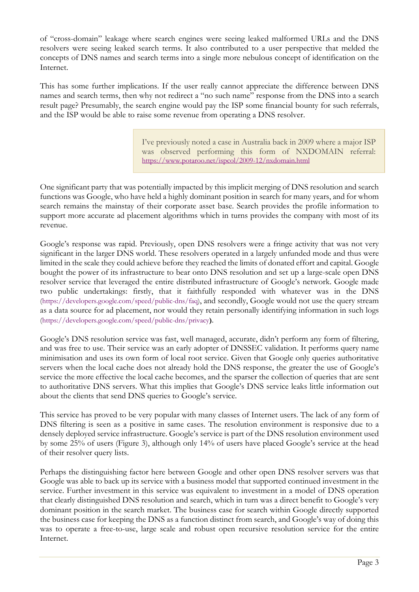of "cross-domain" leakage where search engines were seeing leaked malformed URLs and the DNS resolvers were seeing leaked search terms. It also contributed to a user perspective that melded the concepts of DNS names and search terms into a single more nebulous concept of identification on the Internet.

This has some further implications. If the user really cannot appreciate the difference between DNS names and search terms, then why not redirect a "no such name" response from the DNS into a search result page? Presumably, the search engine would pay the ISP some financial bounty for such referrals, and the ISP would be able to raise some revenue from operating a DNS resolver.

> I've previously noted a case in Australia back in 2009 where a major ISP was observed performing this form of NXDOMAIN referral: https://www.potaroo.net/ispcol/2009-12/nxdomain.html

One significant party that was potentially impacted by this implicit merging of DNS resolution and search functions was Google, who have held a highly dominant position in search for many years, and for whom search remains the mainstay of their corporate asset base. Search provides the profile information to support more accurate ad placement algorithms which in turns provides the company with most of its revenue.

Google's response was rapid. Previously, open DNS resolvers were a fringe activity that was not very significant in the larger DNS world. These resolvers operated in a largely unfunded mode and thus were limited in the scale they could achieve before they reached the limits of donated effort and capital. Google bought the power of its infrastructure to bear onto DNS resolution and set up a large-scale open DNS resolver service that leveraged the entire distributed infrastructure of Google's network. Google made two public undertakings: firstly, that it faithfully responded with whatever was in the DNS (https://developers.google.com/speed/public-dns/faq), and secondly, Google would not use the query stream as a data source for ad placement, nor would they retain personally identifying information in such logs (https://developers.google.com/speed/public-dns/privacy**)**.

Google's DNS resolution service was fast, well managed, accurate, didn't perform any form of filtering, and was free to use. Their service was an early adopter of DNSSEC validation. It performs query name minimisation and uses its own form of local root service. Given that Google only queries authoritative servers when the local cache does not already hold the DNS response, the greater the use of Google's service the more effective the local cache becomes, and the sparser the collection of queries that are sent to authoritative DNS servers. What this implies that Google's DNS service leaks little information out about the clients that send DNS queries to Google's service.

This service has proved to be very popular with many classes of Internet users. The lack of any form of DNS filtering is seen as a positive in same cases. The resolution environment is responsive due to a densely deployed service infrastructure. Google's service is part of the DNS resolution environment used by some 25% of users (Figure 3), although only 14% of users have placed Google's service at the head of their resolver query lists.

Perhaps the distinguishing factor here between Google and other open DNS resolver servers was that Google was able to back up its service with a business model that supported continued investment in the service. Further investment in this service was equivalent to investment in a model of DNS operation that clearly distinguished DNS resolution and search, which in turn was a direct benefit to Google's very dominant position in the search market. The business case for search within Google directly supported the business case for keeping the DNS as a function distinct from search, and Google's way of doing this was to operate a free-to-use, large scale and robust open recursive resolution service for the entire Internet.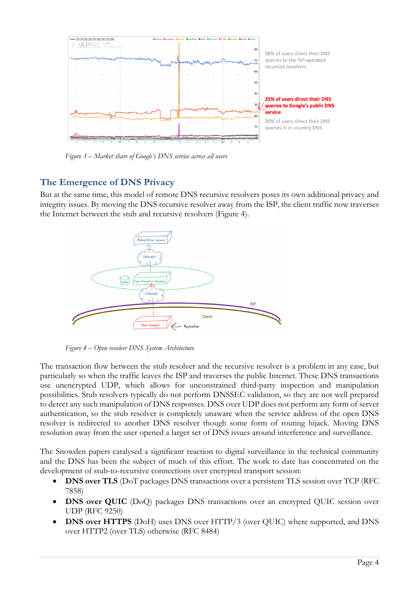

*Figure 3 – Market share of Google's DNS service across all users*

### **The Emergence of DNS Privacy**

But at the same time, this model of remote DNS recursive resolvers poses its own additional privacy and integrity issues. By moving the DNS recursive resolver away from the ISP, the client traffic now traverses the Internet between the stub and recursive resolvers (Figure 4).



*Figure 4 – Open resolver DNS System Architecture*

The transaction flow between the stub resolver and the recursive resolver is a problem in any case, but particularly so when the traffic leaves the ISP and traverses the public Internet. These DNS transactions use unencrypted UDP, which allows for unconstrained third-party inspection and manipulation possibilities. Stub resolvers typically do not perform DNSSEC validation, so they are not well prepared to detect any such manipulation of DNS responses. DNS over UDP does not perform any form of server authentication, so the stub resolver is completely unaware when the service address of the open DNS resolver is redirected to another DNS resolver though some form of routing hijack. Moving DNS resolution away from the user opened a larger set of DNS issues around interference and surveillance.

The Snowden papers catalysed a significant reaction to digital surveillance in the technical community and the DNS has been the subject of much of this effort. The work to date has concentrated on the development of stub-to-recursive connections over encrypted transport session:

- **DNS over TLS** (DoT packages DNS transactions over a persistent TLS session over TCP (RFC 7858)
- **DNS over QUIC** (DoQ) packages DNS transactions over an encrypted QUIC session over UDP (RFC 9250)
- **DNS over HTTPS** (DoH) uses DNS over HTTP/3 (over QUIC) where supported, and DNS over HTTP2 (over TLS) otherwise (RFC 8484)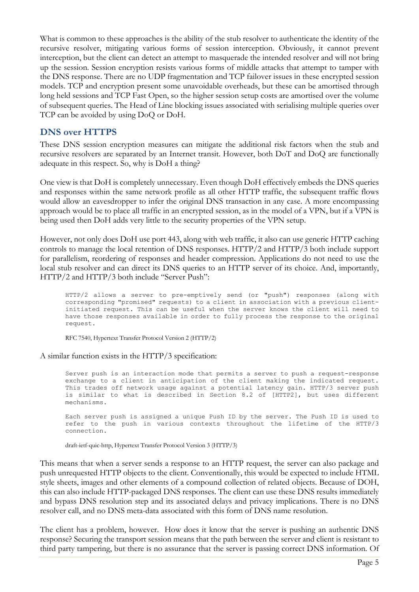What is common to these approaches is the ability of the stub resolver to authenticate the identity of the recursive resolver, mitigating various forms of session interception. Obviously, it cannot prevent interception, but the client can detect an attempt to masquerade the intended resolver and will not bring up the session. Session encryption resists various forms of middle attacks that attempt to tamper with the DNS response. There are no UDP fragmentation and TCP failover issues in these encrypted session models. TCP and encryption present some unavoidable overheads, but these can be amortised through long held sessions and TCP Fast Open, so the higher session setup costs are amortised over the volume of subsequent queries. The Head of Line blocking issues associated with serialising multiple queries over TCP can be avoided by using DoQ or DoH.

#### **DNS over HTTPS**

These DNS session encryption measures can mitigate the additional risk factors when the stub and recursive resolvers are separated by an Internet transit. However, both DoT and DoQ are functionally adequate in this respect. So, why is DoH a thing?

One view is that DoH is completely unnecessary. Even though DoH effectively embeds the DNS queries and responses within the same network profile as all other HTTP traffic, the subsequent traffic flows would allow an eavesdropper to infer the original DNS transaction in any case. A more encompassing approach would be to place all traffic in an encrypted session, as in the model of a VPN, but if a VPN is being used then DoH adds very little to the security properties of the VPN setup.

However, not only does DoH use port 443, along with web traffic, it also can use generic HTTP caching controls to manage the local retention of DNS responses. HTTP/2 and HTTP/3 both include support for parallelism, reordering of responses and header compression. Applications do not need to use the local stub resolver and can direct its DNS queries to an HTTP server of its choice. And, importantly, HTTP/2 and HTTP/3 both include "Server Push":

HTTP/2 allows a server to pre-emptively send (or "push") responses (along with corresponding "promised" requests) to a client in association with a previous clientinitiated request. This can be useful when the server knows the client will need to have those responses available in order to fully process the response to the original request.

RFC 7540, Hypertext Transfer Protocol Version 2 (HTTP/2)

A similar function exists in the HTTP/3 specification:

Server push is an interaction mode that permits a server to push a request-response exchange to a client in anticipation of the client making the indicated request. This trades off network usage against a potential latency gain. HTTP/3 server push is similar to what is described in Section 8.2 of [HTTP2], but uses different mechanisms.

Each server push is assigned a unique Push ID by the server. The Push ID is used to refer to the push in various contexts throughout the lifetime of the HTTP/3 connection.

draft-ietf-quic-http, Hypertext Transfer Protocol Version 3 (HTTP/3)

This means that when a server sends a response to an HTTP request, the server can also package and push unrequested HTTP objects to the client. Conventionally, this would be expected to include HTML style sheets, images and other elements of a compound collection of related objects. Because of DOH, this can also include HTTP-packaged DNS responses. The client can use these DNS results immediately and bypass DNS resolution step and its associated delays and privacy implications. There is no DNS resolver call, and no DNS meta-data associated with this form of DNS name resolution.

The client has a problem, however. How does it know that the server is pushing an authentic DNS response? Securing the transport session means that the path between the server and client is resistant to third party tampering, but there is no assurance that the server is passing correct DNS information. Of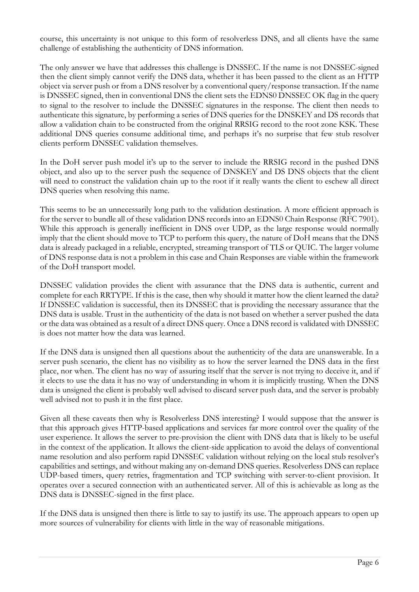course, this uncertainty is not unique to this form of resolverless DNS, and all clients have the same challenge of establishing the authenticity of DNS information.

The only answer we have that addresses this challenge is DNSSEC. If the name is not DNSSEC-signed then the client simply cannot verify the DNS data, whether it has been passed to the client as an HTTP object via server push or from a DNS resolver by a conventional query/response transaction. If the name is DNSSEC signed, then in conventional DNS the client sets the EDNS0 DNSSEC OK flag in the query to signal to the resolver to include the DNSSEC signatures in the response. The client then needs to authenticate this signature, by performing a series of DNS queries for the DNSKEY and DS records that allow a validation chain to be constructed from the original RRSIG record to the root zone KSK. These additional DNS queries consume additional time, and perhaps it's no surprise that few stub resolver clients perform DNSSEC validation themselves.

In the DoH server push model it's up to the server to include the RRSIG record in the pushed DNS object, and also up to the server push the sequence of DNSKEY and DS DNS objects that the client will need to construct the validation chain up to the root if it really wants the client to eschew all direct DNS queries when resolving this name.

This seems to be an unnecessarily long path to the validation destination. A more efficient approach is for the server to bundle all of these validation DNS records into an EDNS0 Chain Response (RFC 7901). While this approach is generally inefficient in DNS over UDP, as the large response would normally imply that the client should move to TCP to perform this query, the nature of DoH means that the DNS data is already packaged in a reliable, encrypted, streaming transport of TLS or QUIC. The larger volume of DNS response data is not a problem in this case and Chain Responses are viable within the framework of the DoH transport model.

DNSSEC validation provides the client with assurance that the DNS data is authentic, current and complete for each RRTYPE. If this is the case, then why should it matter how the client learned the data? If DNSSEC validation is successful, then its DNSSEC that is providing the necessary assurance that the DNS data is usable. Trust in the authenticity of the data is not based on whether a server pushed the data or the data was obtained as a result of a direct DNS query. Once a DNS record is validated with DNSSEC is does not matter how the data was learned.

If the DNS data is unsigned then all questions about the authenticity of the data are unanswerable. In a server push scenario, the client has no visibility as to how the server learned the DNS data in the first place, nor when. The client has no way of assuring itself that the server is not trying to deceive it, and if it elects to use the data it has no way of understanding in whom it is implicitly trusting. When the DNS data is unsigned the client is probably well advised to discard server push data, and the server is probably well advised not to push it in the first place.

Given all these caveats then why is Resolverless DNS interesting? I would suppose that the answer is that this approach gives HTTP-based applications and services far more control over the quality of the user experience. It allows the server to pre-provision the client with DNS data that is likely to be useful in the context of the application. It allows the client-side application to avoid the delays of conventional name resolution and also perform rapid DNSSEC validation without relying on the local stub resolver's capabilities and settings, and without making any on-demand DNS queries. Resolverless DNS can replace UDP-based timers, query retries, fragmentation and TCP switching with server-to-client provision. It operates over a secured connection with an authenticated server. All of this is achievable as long as the DNS data is DNSSEC-signed in the first place.

If the DNS data is unsigned then there is little to say to justify its use. The approach appears to open up more sources of vulnerability for clients with little in the way of reasonable mitigations.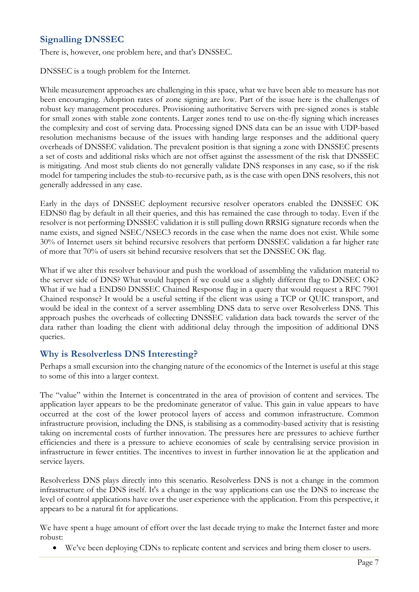## **Signalling DNSSEC**

There is, however, one problem here, and that's DNSSEC.

DNSSEC is a tough problem for the Internet.

While measurement approaches are challenging in this space, what we have been able to measure has not been encouraging. Adoption rates of zone signing are low. Part of the issue here is the challenges of robust key management procedures. Provisioning authoritative Servers with pre-signed zones is stable for small zones with stable zone contents. Larger zones tend to use on-the-fly signing which increases the complexity and cost of serving data. Processing signed DNS data can be an issue with UDP-based resolution mechanisms because of the issues with handing large responses and the additional query overheads of DNSSEC validation. The prevalent position is that signing a zone with DNSSEC presents a set of costs and additional risks which are not offset against the assessment of the risk that DNSSEC is mitigating. And most stub clients do not generally validate DNS responses in any case, so if the risk model for tampering includes the stub-to-recursive path, as is the case with open DNS resolvers, this not generally addressed in any case.

Early in the days of DNSSEC deployment recursive resolver operators enabled the DNSSEC OK EDNS0 flag by default in all their queries, and this has remained the case through to today. Even if the resolver is not performing DNSSEC validation it is still pulling down RRSIG signature records when the name exists, and signed NSEC/NSEC3 records in the case when the name does not exist. While some 30% of Internet users sit behind recursive resolvers that perform DNSSEC validation a far higher rate of more that 70% of users sit behind recursive resolvers that set the DNSSEC OK flag.

What if we alter this resolver behaviour and push the workload of assembling the validation material to the server side of DNS? What would happen if we could use a slightly different flag to DNSEC OK? What if we had a ENDS0 DNSSEC Chained Response flag in a query that would request a RFC 7901 Chained response? It would be a useful setting if the client was using a TCP or QUIC transport, and would be ideal in the context of a server assembling DNS data to serve over Resolverless DNS. This approach pushes the overheads of collecting DNSSEC validation data back towards the server of the data rather than loading the client with additional delay through the imposition of additional DNS queries.

#### **Why is Resolverless DNS Interesting?**

Perhaps a small excursion into the changing nature of the economics of the Internet is useful at this stage to some of this into a larger context.

The "value" within the Internet is concentrated in the area of provision of content and services. The application layer appears to be the predominate generator of value. This gain in value appears to have occurred at the cost of the lower protocol layers of access and common infrastructure. Common infrastructure provision, including the DNS, is stabilising as a commodity-based activity that is resisting taking on incremental costs of further innovation. The pressures here are pressures to achieve further efficiencies and there is a pressure to achieve economies of scale by centralising service provision in infrastructure in fewer entities. The incentives to invest in further innovation lie at the application and service layers.

Resolverless DNS plays directly into this scenario. Resolverless DNS is not a change in the common infrastructure of the DNS itself. It's a change in the way applications can use the DNS to increase the level of control applications have over the user experience with the application. From this perspective, it appears to be a natural fit for applications.

We have spent a huge amount of effort over the last decade trying to make the Internet faster and more robust:

• We've been deploying CDNs to replicate content and services and bring them closer to users.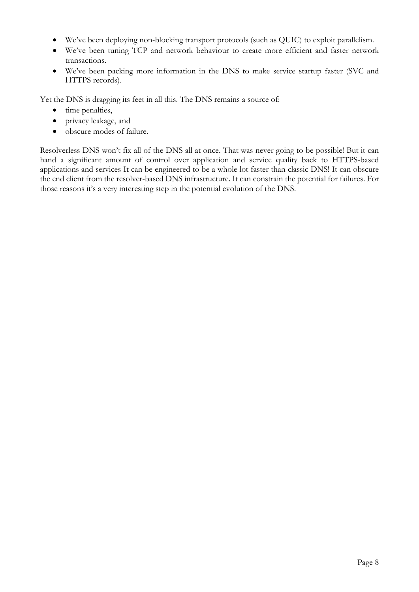- We've been deploying non-blocking transport protocols (such as QUIC) to exploit parallelism.
- We've been tuning TCP and network behaviour to create more efficient and faster network transactions.
- We've been packing more information in the DNS to make service startup faster (SVC and HTTPS records).

Yet the DNS is dragging its feet in all this. The DNS remains a source of:

- time penalties,
- privacy leakage, and
- obscure modes of failure.

Resolverless DNS won't fix all of the DNS all at once. That was never going to be possible! But it can hand a significant amount of control over application and service quality back to HTTPS-based applications and services It can be engineered to be a whole lot faster than classic DNS! It can obscure the end client from the resolver-based DNS infrastructure. It can constrain the potential for failures. For those reasons it's a very interesting step in the potential evolution of the DNS.